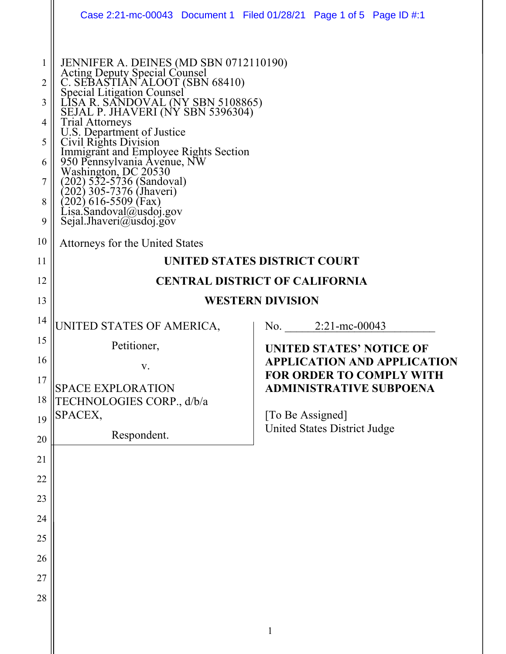|                                                       | Case 2:21-mc-00043 Document 1 Filed 01/28/21 Page 1 of 5 Page ID #:1                                                                                                                                                                                                                                                                                                                                                                                                                                                                                                           |  |   |                                                  |                                                                       |
|-------------------------------------------------------|--------------------------------------------------------------------------------------------------------------------------------------------------------------------------------------------------------------------------------------------------------------------------------------------------------------------------------------------------------------------------------------------------------------------------------------------------------------------------------------------------------------------------------------------------------------------------------|--|---|--------------------------------------------------|-----------------------------------------------------------------------|
| 1<br>2<br>3<br>4<br>5<br>6<br>7<br>8<br>9<br>10<br>11 | JENNIFER A. DEINES (MD SBN 0712110190)<br>Acting Deputy Special Counsel<br>C. SEBASTIAN ALOOT (SBN 68410)<br>Special Litigation Counsel<br>LISA R. SANDOVAL (NY SBN 5108865)<br>SEJAL P. JHAVERI (NY SBN 5396304)<br><b>Trial Attorneys</b><br>U.S. Department of Justice<br>Civil Rights Division<br>Immigrant and Employee Rights Section<br>950 Pennsylvania Avenue, NW<br>Washington, DC 20530<br>$(202)$ 532-5736 (Sandoval)<br>[202] 305-7376 (Jhaveri)<br>(202) 616-5509 (Fax)<br>Lisa Sandoval@usdoj gov<br>Sejal.Jhaveri@usdoj.gov<br>Attorneys for the United States |  |   |                                                  |                                                                       |
| 12                                                    | UNITED STATES DISTRICT COURT                                                                                                                                                                                                                                                                                                                                                                                                                                                                                                                                                   |  |   |                                                  |                                                                       |
| 13                                                    | <b>CENTRAL DISTRICT OF CALIFORNIA</b>                                                                                                                                                                                                                                                                                                                                                                                                                                                                                                                                          |  |   |                                                  |                                                                       |
|                                                       | <b>WESTERN DIVISION</b>                                                                                                                                                                                                                                                                                                                                                                                                                                                                                                                                                        |  |   |                                                  |                                                                       |
| 14                                                    | UNITED STATES OF AMERICA,                                                                                                                                                                                                                                                                                                                                                                                                                                                                                                                                                      |  |   | No. $2:21$ -mc-00043                             |                                                                       |
| 15                                                    | Petitioner,                                                                                                                                                                                                                                                                                                                                                                                                                                                                                                                                                                    |  |   |                                                  | UNITED STATES' NOTICE OF                                              |
| 16                                                    | V.                                                                                                                                                                                                                                                                                                                                                                                                                                                                                                                                                                             |  |   |                                                  | <b>APPLICATION AND APPLICATION</b><br><b>FOR ORDER TO COMPLY WITH</b> |
| 17                                                    | SPACE EXPLORATION                                                                                                                                                                                                                                                                                                                                                                                                                                                                                                                                                              |  |   |                                                  | <b>ADMINISTRATIVE SUBPOENA</b>                                        |
| 18                                                    | TECHNOLOGIES CORP., d/b/a                                                                                                                                                                                                                                                                                                                                                                                                                                                                                                                                                      |  |   |                                                  |                                                                       |
| 19                                                    | SPACEX,                                                                                                                                                                                                                                                                                                                                                                                                                                                                                                                                                                        |  |   | [To Be Assigned]<br>United States District Judge |                                                                       |
| 20                                                    | Respondent.                                                                                                                                                                                                                                                                                                                                                                                                                                                                                                                                                                    |  |   |                                                  |                                                                       |
| 21                                                    |                                                                                                                                                                                                                                                                                                                                                                                                                                                                                                                                                                                |  |   |                                                  |                                                                       |
| 22                                                    |                                                                                                                                                                                                                                                                                                                                                                                                                                                                                                                                                                                |  |   |                                                  |                                                                       |
| 23                                                    |                                                                                                                                                                                                                                                                                                                                                                                                                                                                                                                                                                                |  |   |                                                  |                                                                       |
| 24                                                    |                                                                                                                                                                                                                                                                                                                                                                                                                                                                                                                                                                                |  |   |                                                  |                                                                       |
| 25                                                    |                                                                                                                                                                                                                                                                                                                                                                                                                                                                                                                                                                                |  |   |                                                  |                                                                       |
| 26                                                    |                                                                                                                                                                                                                                                                                                                                                                                                                                                                                                                                                                                |  |   |                                                  |                                                                       |
| 27                                                    |                                                                                                                                                                                                                                                                                                                                                                                                                                                                                                                                                                                |  |   |                                                  |                                                                       |
| 28                                                    |                                                                                                                                                                                                                                                                                                                                                                                                                                                                                                                                                                                |  |   |                                                  |                                                                       |
|                                                       |                                                                                                                                                                                                                                                                                                                                                                                                                                                                                                                                                                                |  | 1 |                                                  |                                                                       |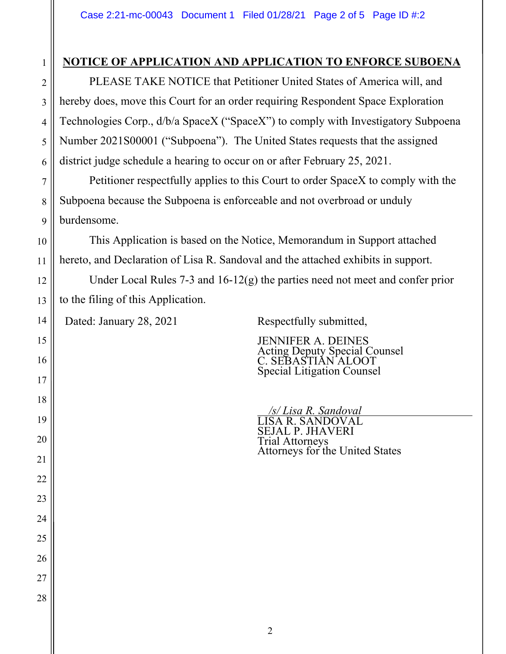## **NOTICE OF APPLICATION AND APPLICATION TO ENFORCE SUBOENA**

PLEASE TAKE NOTICE that Petitioner United States of America will, and hereby does, move this Court for an order requiring Respondent Space Exploration Technologies Corp., d/b/a SpaceX ("SpaceX") to comply with Investigatory Subpoena Number 2021S00001 ("Subpoena"). The United States requests that the assigned district judge schedule a hearing to occur on or after February 25, 2021.

Petitioner respectfully applies to this Court to order SpaceX to comply with the Subpoena because the Subpoena is enforceable and not overbroad or unduly burdensome.

 This Application is based on the Notice, Memorandum in Support attached hereto, and Declaration of Lisa R. Sandoval and the attached exhibits in support.

Under Local Rules 7-3 and 16-12(g) the parties need not meet and confer prior to the filing of this Application.

Dated: January 28, 2021 Respectfully submitted,

JENNIFER A. DEINES Acting Deputy Special Counsel C. SEBASTIAN ALOOT Special Litigation Counsel

 */s/ Lisa R. Sandoval* LISA R. SANDOVAL SEJAL P. JHAVERI

Attorneys for the United States

Trial Attorneys

1

2

3

4

5

6

7

8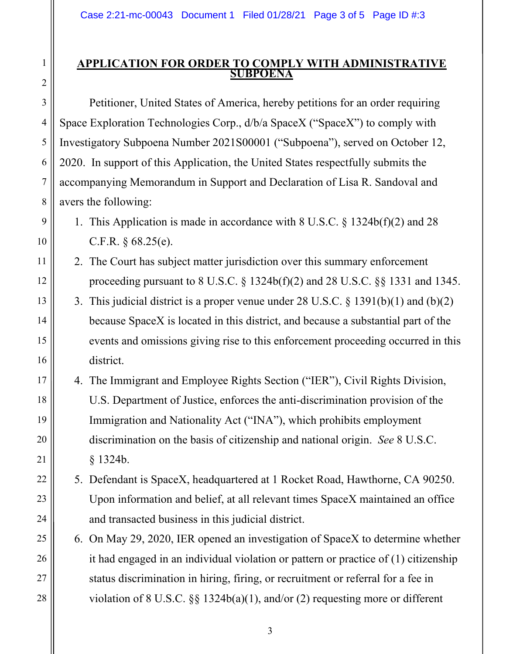## **APPLICATION FOR ORDER TO COMPLY WITH ADMINISTRATIVE SUBPOENA**

Petitioner, United States of America, hereby petitions for an order requiring Space Exploration Technologies Corp., d/b/a SpaceX ("SpaceX") to comply with Investigatory Subpoena Number 2021S00001 ("Subpoena"), served on October 12, 2020. In support of this Application, the United States respectfully submits the accompanying Memorandum in Support and Declaration of Lisa R. Sandoval and avers the following:

- 1. This Application is made in accordance with 8 U.S.C. § 1324b(f)(2) and 28 C.F.R. § 68.25(e).
- 2. The Court has subject matter jurisdiction over this summary enforcement proceeding pursuant to 8 U.S.C. § 1324b(f)(2) and 28 U.S.C. §§ 1331 and 1345.
- 3. This judicial district is a proper venue under 28 U.S.C. § 1391(b)(1) and (b)(2) because SpaceX is located in this district, and because a substantial part of the events and omissions giving rise to this enforcement proceeding occurred in this district.
- 4. The Immigrant and Employee Rights Section ("IER"), Civil Rights Division, U.S. Department of Justice, enforces the anti-discrimination provision of the Immigration and Nationality Act ("INA"), which prohibits employment discrimination on the basis of citizenship and national origin. *See* 8 U.S.C. § 1324b.
- 5. Defendant is SpaceX, headquartered at 1 Rocket Road, Hawthorne, CA 90250. Upon information and belief, at all relevant times SpaceX maintained an office and transacted business in this judicial district.
- 6. On May 29, 2020, IER opened an investigation of SpaceX to determine whether it had engaged in an individual violation or pattern or practice of (1) citizenship status discrimination in hiring, firing, or recruitment or referral for a fee in violation of 8 U.S.C. §§ 1324b(a)(1), and/or (2) requesting more or different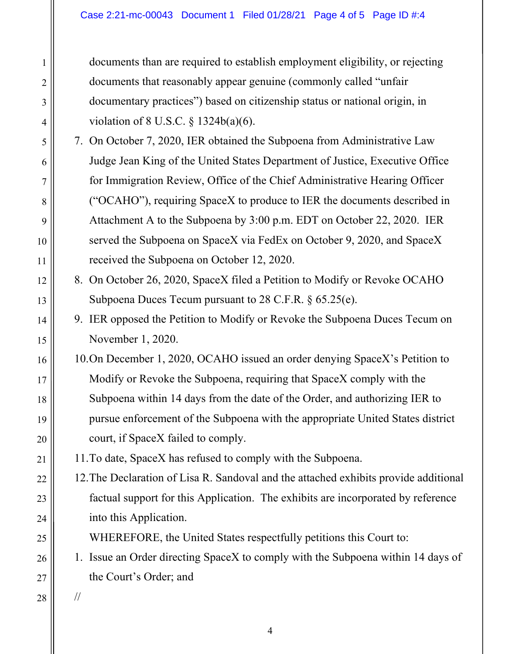documents than are required to establish employment eligibility, or rejecting documents that reasonably appear genuine (commonly called "unfair documentary practices") based on citizenship status or national origin, in violation of 8 U.S.C. § 1324b(a)(6).

- 7. On October 7, 2020, IER obtained the Subpoena from Administrative Law Judge Jean King of the United States Department of Justice, Executive Office for Immigration Review, Office of the Chief Administrative Hearing Officer ("OCAHO"), requiring SpaceX to produce to IER the documents described in Attachment A to the Subpoena by 3:00 p.m. EDT on October 22, 2020. IER served the Subpoena on SpaceX via FedEx on October 9, 2020, and SpaceX received the Subpoena on October 12, 2020.
- 8. On October 26, 2020, SpaceX filed a Petition to Modify or Revoke OCAHO Subpoena Duces Tecum pursuant to 28 C.F.R. § 65.25(e).
- 9. IER opposed the Petition to Modify or Revoke the Subpoena Duces Tecum on November 1, 2020.
- 10.On December 1, 2020, OCAHO issued an order denying SpaceX's Petition to Modify or Revoke the Subpoena, requiring that SpaceX comply with the Subpoena within 14 days from the date of the Order, and authorizing IER to pursue enforcement of the Subpoena with the appropriate United States district court, if SpaceX failed to comply.

11.To date, SpaceX has refused to comply with the Subpoena.

12.The Declaration of Lisa R. Sandoval and the attached exhibits provide additional factual support for this Application. The exhibits are incorporated by reference into this Application.

WHEREFORE, the United States respectfully petitions this Court to:

- 1. Issue an Order directing SpaceX to comply with the Subpoena within 14 days of the Court's Order; and
- //

1

2

3

4

5

6

7

8

9

10

11

12

13

14

15

16

17

18

19

20

21

22

23

24

25

26

27